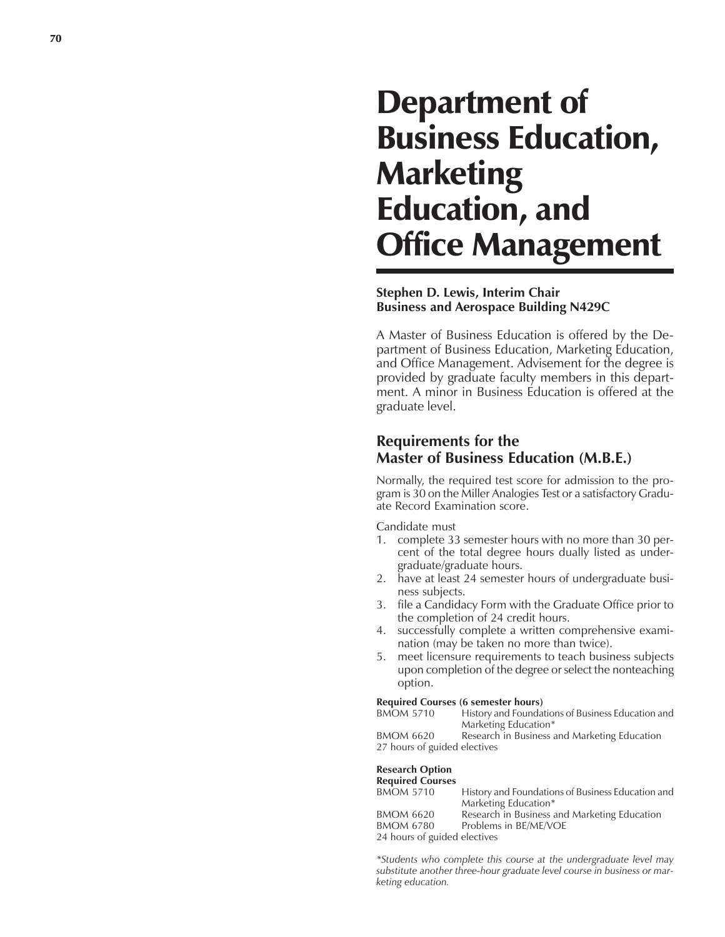# Department of Business Education, **Marketing** Education, and Office Management

### **Stephen D. Lewis, Interim Chair Business and Aerospace Building N429C**

A Master of Business Education is offered by the Department of Business Education, Marketing Education, and Office Management. Advisement for the degree is provided by graduate faculty members in this department. A minor in Business Education is offered at the graduate level.

## **Requirements for the Master of Business Education (M.B.E.)**

Normally, the required test score for admission to the program is 30 on the Miller Analogies Test or a satisfactory Graduate Record Examination score.

Candidate must

- 1. complete 33 semester hours with no more than 30 percent of the total degree hours dually listed as undergraduate/graduate hours.
- 2. have at least 24 semester hours of undergraduate business subjects.
- 3. file a Candidacy Form with the Graduate Office prior to the completion of 24 credit hours.
- 4. successfully complete a written comprehensive examination (may be taken no more than twice).
- 5. meet licensure requirements to teach business subjects upon completion of the degree or select the nonteaching option.

#### **Required Courses (6 semester hours)**

BMOM 5710 History and Foundations of Business Education and Marketing Education\* BMOM 6620 Research in Business and Marketing Education

27 hours of guided electives

#### **Research Option**

#### **Required Courses**

| <b>BMOM 5710</b>             | History and Foundations of Business Education and |
|------------------------------|---------------------------------------------------|
|                              | Marketing Education*                              |
| <b>BMOM 6620</b>             | Research in Business and Marketing Education      |
| <b>BMOM 6780</b>             | Problems in BE/ME/VOE                             |
| 24 hours of guided electives |                                                   |

*\*Students who complete this course at the undergraduate level may substitute another three-hour graduate level course in business or marketing education.*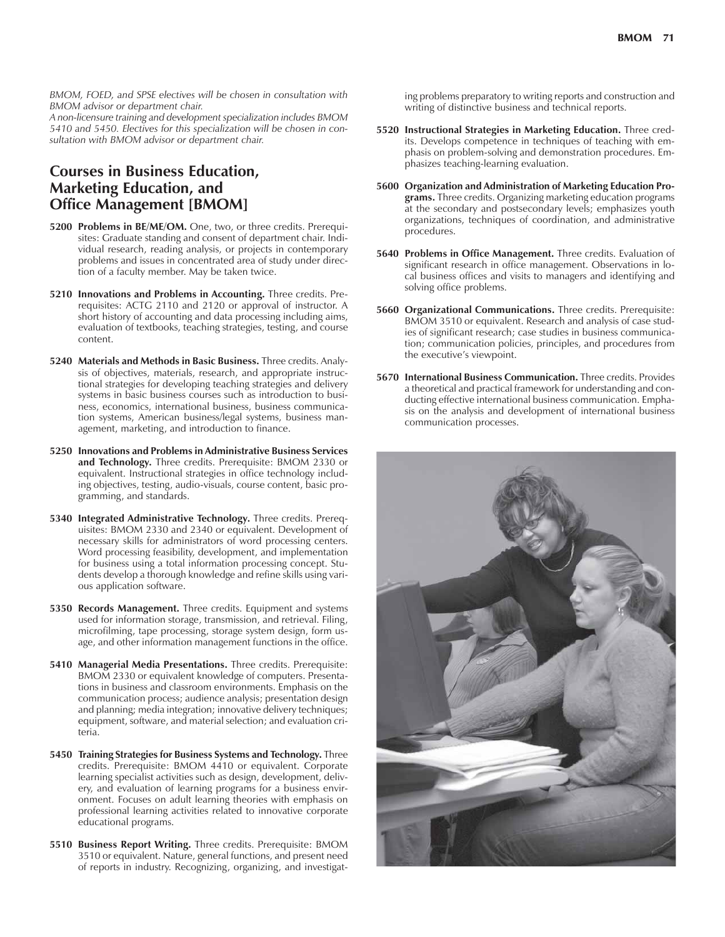*BMOM, FOED, and SPSE electives will be chosen in consultation with BMOM advisor or department chair.*

*A non-licensure training and development specialization includes BMOM 5410 and 5450. Electives for this specialization will be chosen in consultation with BMOM advisor or department chair.*

## **Courses in Business Education, Marketing Education, and Office Management [BMOM]**

- **5200 Problems in BE/ME/OM.** One, two, or three credits. Prerequisites: Graduate standing and consent of department chair. Individual research, reading analysis, or projects in contemporary problems and issues in concentrated area of study under direction of a faculty member. May be taken twice.
- **5210 Innovations and Problems in Accounting.** Three credits. Prerequisites: ACTG 2110 and 2120 or approval of instructor. A short history of accounting and data processing including aims, evaluation of textbooks, teaching strategies, testing, and course content.
- **5240 Materials and Methods in Basic Business.** Three credits. Analysis of objectives, materials, research, and appropriate instructional strategies for developing teaching strategies and delivery systems in basic business courses such as introduction to business, economics, international business, business communication systems, American business/legal systems, business management, marketing, and introduction to finance.
- **5250 Innovations and Problems in Administrative Business Services and Technology.** Three credits. Prerequisite: BMOM 2330 or equivalent. Instructional strategies in office technology including objectives, testing, audio-visuals, course content, basic programming, and standards.
- **5340 Integrated Administrative Technology.** Three credits. Prerequisites: BMOM 2330 and 2340 or equivalent. Development of necessary skills for administrators of word processing centers. Word processing feasibility, development, and implementation for business using a total information processing concept. Students develop a thorough knowledge and refine skills using various application software.
- **5350 Records Management.** Three credits. Equipment and systems used for information storage, transmission, and retrieval. Filing, microfilming, tape processing, storage system design, form usage, and other information management functions in the office.
- **5410 Managerial Media Presentations.** Three credits. Prerequisite: BMOM 2330 or equivalent knowledge of computers. Presentations in business and classroom environments. Emphasis on the communication process; audience analysis; presentation design and planning; media integration; innovative delivery techniques; equipment, software, and material selection; and evaluation criteria.
- **5450 Training Strategies for Business Systems and Technology.** Three credits. Prerequisite: BMOM 4410 or equivalent. Corporate learning specialist activities such as design, development, delivery, and evaluation of learning programs for a business environment. Focuses on adult learning theories with emphasis on professional learning activities related to innovative corporate educational programs.
- **5510 Business Report Writing.** Three credits. Prerequisite: BMOM 3510 or equivalent. Nature, general functions, and present need of reports in industry. Recognizing, organizing, and investigat-

ing problems preparatory to writing reports and construction and writing of distinctive business and technical reports.

- **5520 Instructional Strategies in Marketing Education.** Three credits. Develops competence in techniques of teaching with emphasis on problem-solving and demonstration procedures. Emphasizes teaching-learning evaluation.
- **5600 Organization and Administration of Marketing Education Programs.** Three credits. Organizing marketing education programs at the secondary and postsecondary levels; emphasizes youth organizations, techniques of coordination, and administrative procedures.
- **5640 Problems in Office Management.** Three credits. Evaluation of significant research in office management. Observations in local business offices and visits to managers and identifying and solving office problems.
- **5660 Organizational Communications.** Three credits. Prerequisite: BMOM 3510 or equivalent. Research and analysis of case studies of significant research; case studies in business communication; communication policies, principles, and procedures from the executive's viewpoint.
- **5670 International Business Communication.** Three credits. Provides a theoretical and practical framework for understanding and conducting effective international business communication. Emphasis on the analysis and development of international business communication processes.